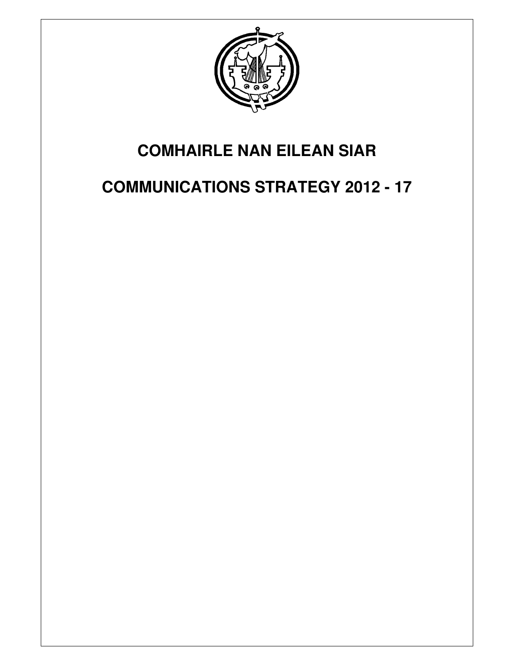

# **COMHAIRLE NAN EILEAN SIAR**

# **COMMUNICATIONS STRATEGY 2012 - 17**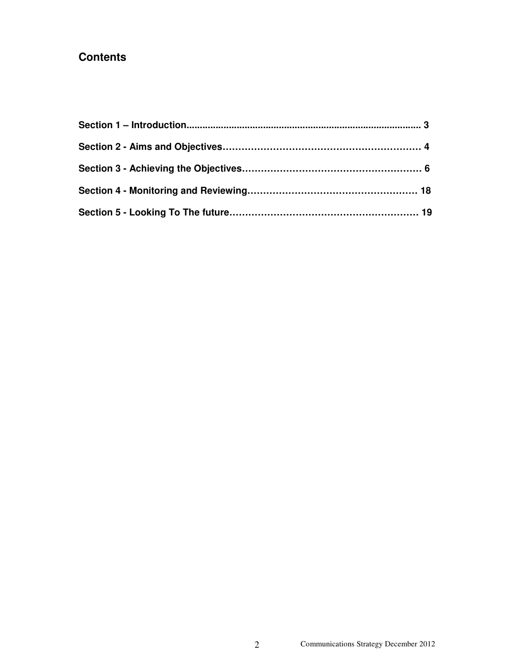## **Contents**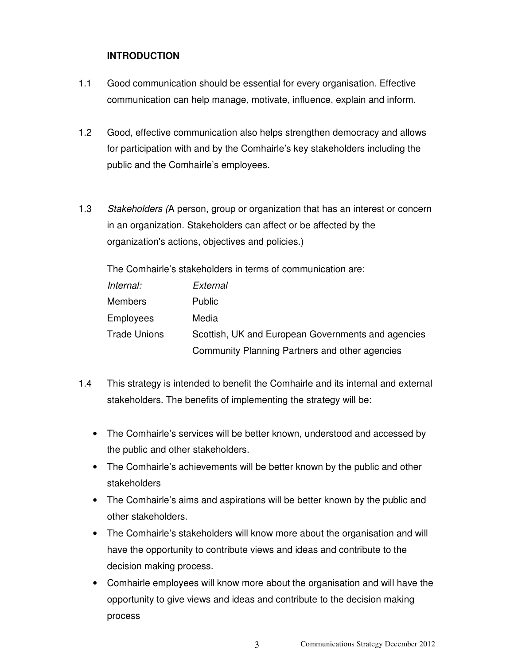## **INTRODUCTION**

- 1.1 Good communication should be essential for every organisation. Effective communication can help manage, motivate, influence, explain and inform.
- 1.2 Good, effective communication also helps strengthen democracy and allows for participation with and by the Comhairle's key stakeholders including the public and the Comhairle's employees.
- 1.3 Stakeholders (A person, group or organization that has an interest or concern in an organization. Stakeholders can affect or be affected by the organization's actions, objectives and policies.)

The Comhairle's stakeholders in terms of communication are:

| Internal:           | External                                           |
|---------------------|----------------------------------------------------|
| <b>Members</b>      | <b>Public</b>                                      |
| <b>Employees</b>    | Media                                              |
| <b>Trade Unions</b> | Scottish, UK and European Governments and agencies |
|                     | Community Planning Partners and other agencies     |

- 1.4 This strategy is intended to benefit the Comhairle and its internal and external stakeholders. The benefits of implementing the strategy will be:
	- The Comhairle's services will be better known, understood and accessed by the public and other stakeholders.
	- The Comhairle's achievements will be better known by the public and other stakeholders
	- The Comhairle's aims and aspirations will be better known by the public and other stakeholders.
	- The Comhairle's stakeholders will know more about the organisation and will have the opportunity to contribute views and ideas and contribute to the decision making process.
	- Comhairle employees will know more about the organisation and will have the opportunity to give views and ideas and contribute to the decision making process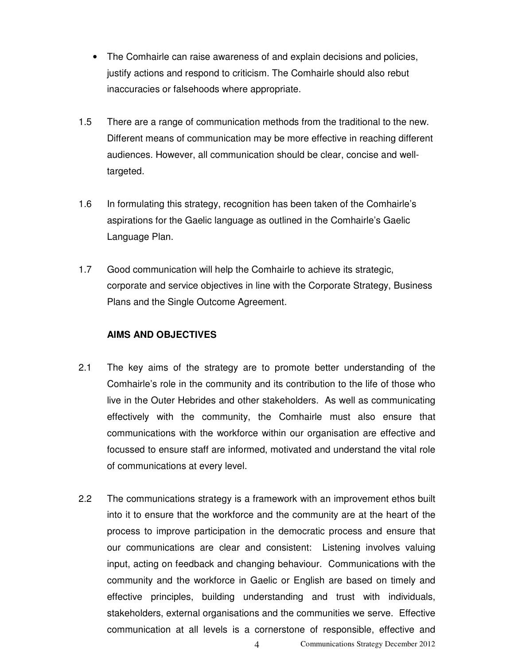- The Comhairle can raise awareness of and explain decisions and policies, justify actions and respond to criticism. The Comhairle should also rebut inaccuracies or falsehoods where appropriate.
- 1.5 There are a range of communication methods from the traditional to the new. Different means of communication may be more effective in reaching different audiences. However, all communication should be clear, concise and welltargeted.
- 1.6 In formulating this strategy, recognition has been taken of the Comhairle's aspirations for the Gaelic language as outlined in the Comhairle's Gaelic Language Plan.
- 1.7 Good communication will help the Comhairle to achieve its strategic, corporate and service objectives in line with the Corporate Strategy, Business Plans and the Single Outcome Agreement.

### **AIMS AND OBJECTIVES**

- 2.1 The key aims of the strategy are to promote better understanding of the Comhairle's role in the community and its contribution to the life of those who live in the Outer Hebrides and other stakeholders. As well as communicating effectively with the community, the Comhairle must also ensure that communications with the workforce within our organisation are effective and focussed to ensure staff are informed, motivated and understand the vital role of communications at every level.
- 2.2 The communications strategy is a framework with an improvement ethos built into it to ensure that the workforce and the community are at the heart of the process to improve participation in the democratic process and ensure that our communications are clear and consistent: Listening involves valuing input, acting on feedback and changing behaviour. Communications with the community and the workforce in Gaelic or English are based on timely and effective principles, building understanding and trust with individuals, stakeholders, external organisations and the communities we serve. Effective communication at all levels is a cornerstone of responsible, effective and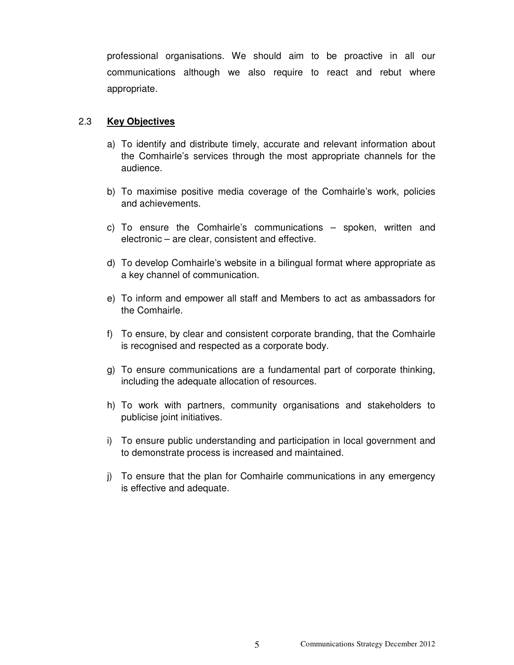professional organisations. We should aim to be proactive in all our communications although we also require to react and rebut where appropriate.

#### 2.3 **Key Objectives**

- a) To identify and distribute timely, accurate and relevant information about the Comhairle's services through the most appropriate channels for the audience.
- b) To maximise positive media coverage of the Comhairle's work, policies and achievements.
- c) To ensure the Comhairle's communications spoken, written and electronic – are clear, consistent and effective.
- d) To develop Comhairle's website in a bilingual format where appropriate as a key channel of communication.
- e) To inform and empower all staff and Members to act as ambassadors for the Comhairle.
- f) To ensure, by clear and consistent corporate branding, that the Comhairle is recognised and respected as a corporate body.
- g) To ensure communications are a fundamental part of corporate thinking, including the adequate allocation of resources.
- h) To work with partners, community organisations and stakeholders to publicise joint initiatives.
- i) To ensure public understanding and participation in local government and to demonstrate process is increased and maintained.
- j) To ensure that the plan for Comhairle communications in any emergency is effective and adequate.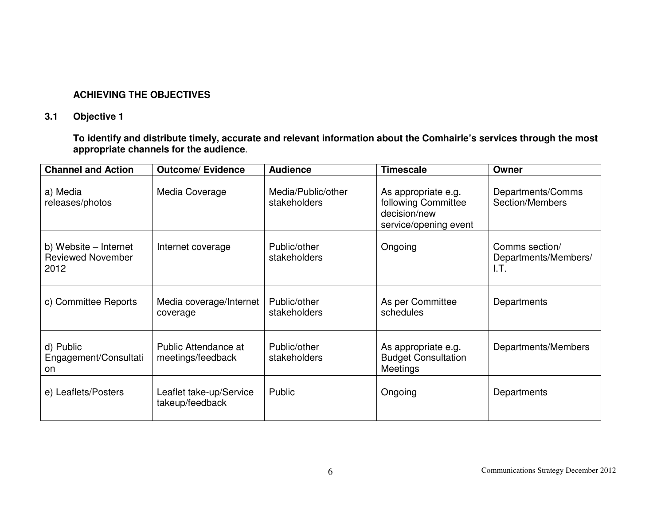### **ACHIEVING THE OBJECTIVES**

## **3.1 Objective 1**

**To identify and distribute timely, accurate and relevant information about the Comhairle's services through the most appropriate channels for the audience**.

| <b>Channel and Action</b>                                 | <b>Outcome/ Evidence</b>                   | <b>Audience</b>                    | <b>Timescale</b>                                                                    | Owner                                          |
|-----------------------------------------------------------|--------------------------------------------|------------------------------------|-------------------------------------------------------------------------------------|------------------------------------------------|
| a) Media<br>releases/photos                               | Media Coverage                             | Media/Public/other<br>stakeholders | As appropriate e.g.<br>following Committee<br>decision/new<br>service/opening event | Departments/Comms<br>Section/Members           |
| b) Website – Internet<br><b>Reviewed November</b><br>2012 | Internet coverage                          | Public/other<br>stakeholders       | Ongoing                                                                             | Comms section/<br>Departments/Members/<br>I.T. |
| c) Committee Reports                                      | Media coverage/Internet<br>coverage        | Public/other<br>stakeholders       | As per Committee<br>schedules                                                       | Departments                                    |
| d) Public<br>Engagement/Consultati<br>on                  | Public Attendance at<br>meetings/feedback  | Public/other<br>stakeholders       | As appropriate e.g.<br><b>Budget Consultation</b><br>Meetings                       | Departments/Members                            |
| e) Leaflets/Posters                                       | Leaflet take-up/Service<br>takeup/feedback | Public                             | Ongoing                                                                             | Departments                                    |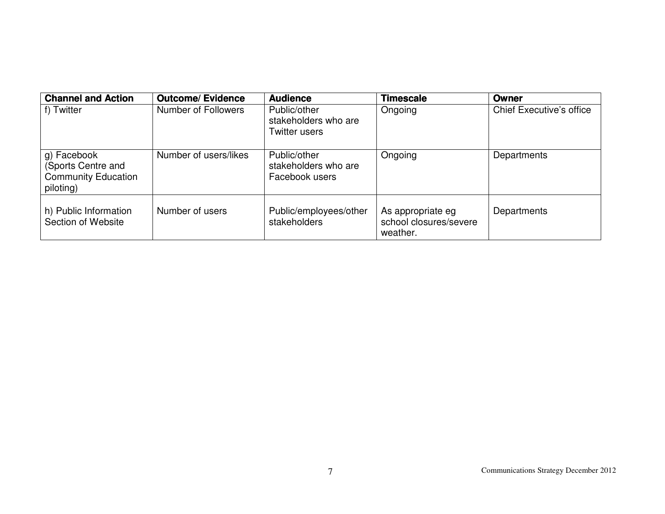| <b>Channel and Action</b>                                                    | <b>Outcome/ Evidence</b> | <b>Audience</b>                                        | <b>Timescale</b>                                        | Owner                           |
|------------------------------------------------------------------------------|--------------------------|--------------------------------------------------------|---------------------------------------------------------|---------------------------------|
| f) Twitter                                                                   | Number of Followers      | Public/other<br>stakeholders who are<br>Twitter users  | Ongoing                                                 | <b>Chief Executive's office</b> |
| g) Facebook<br>(Sports Centre and<br><b>Community Education</b><br>piloting) | Number of users/likes    | Public/other<br>stakeholders who are<br>Facebook users | Ongoing                                                 | Departments                     |
| h) Public Information<br>Section of Website                                  | Number of users          | Public/employees/other<br>stakeholders                 | As appropriate eg<br>school closures/severe<br>weather. | Departments                     |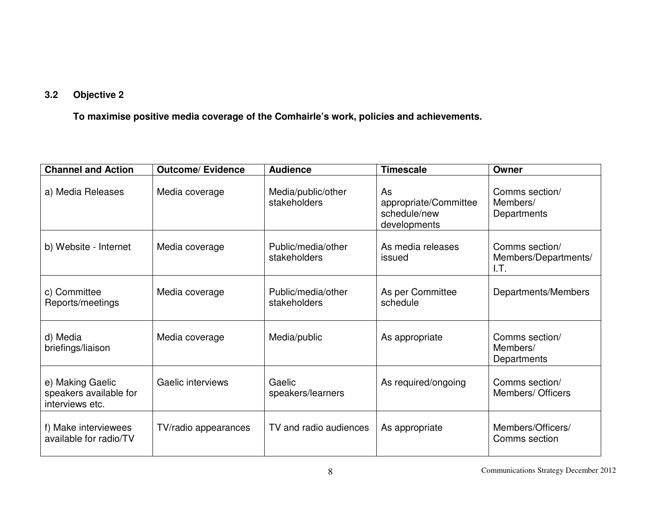## **3.2 Objective 2**

**To maximise positive media coverage of the Comhairle's work, policies and achievements.**

| <b>Channel and Action</b>                                     | <b>Outcome/ Evidence</b> | <b>Audience</b>                    | <b>Timescale</b>                                            | Owner                                          |
|---------------------------------------------------------------|--------------------------|------------------------------------|-------------------------------------------------------------|------------------------------------------------|
| a) Media Releases                                             | Media coverage           | Media/public/other<br>stakeholders | As<br>appropriate/Committee<br>schedule/new<br>developments | Comms section/<br>Members/<br>Departments      |
| b) Website - Internet                                         | Media coverage           | Public/media/other<br>stakeholders | As media releases<br>issued                                 | Comms section/<br>Members/Departments/<br>I.T. |
| c) Committee<br>Reports/meetings                              | Media coverage           | Public/media/other<br>stakeholders | As per Committee<br>schedule                                | Departments/Members                            |
| d) Media<br>briefings/liaison                                 | Media coverage           | Media/public                       | As appropriate                                              | Comms section/<br>Members/<br>Departments      |
| e) Making Gaelic<br>speakers available for<br>interviews etc. | Gaelic interviews        | Gaelic<br>speakers/learners        | As required/ongoing                                         | Comms section/<br>Members/ Officers            |
| f) Make interviewees<br>available for radio/TV                | TV/radio appearances     | TV and radio audiences             | As appropriate                                              | Members/Officers/<br>Comms section             |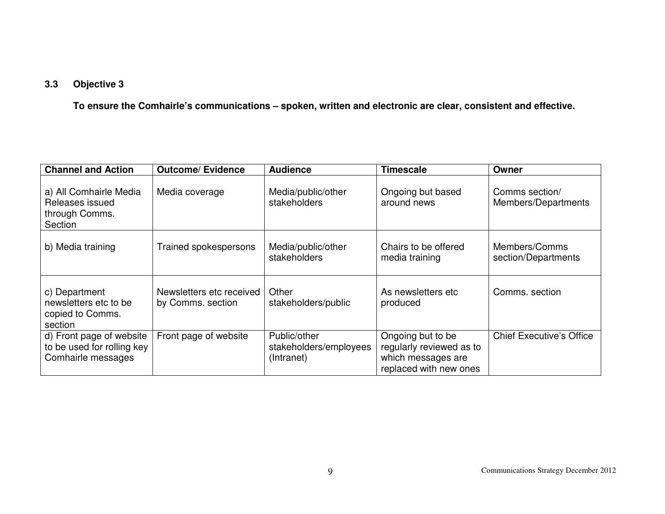## **3.3 Objective 3**

**To ensure the Comhairle's communications – spoken, written and electronic are clear, consistent and effective.**

| <b>Channel and Action</b>                                                    | <b>Outcome/ Evidence</b>                      | <b>Audience</b>                                      | <b>Timescale</b>                                                                              | Owner                                 |
|------------------------------------------------------------------------------|-----------------------------------------------|------------------------------------------------------|-----------------------------------------------------------------------------------------------|---------------------------------------|
| a) All Comhairle Media<br>Releases issued<br>through Comms.<br>Section       | Media coverage                                | Media/public/other<br>stakeholders                   | Ongoing but based<br>around news                                                              | Comms section/<br>Members/Departments |
| b) Media training                                                            | Trained spokespersons                         | Media/public/other<br>stakeholders                   | Chairs to be offered<br>media training                                                        | Members/Comms<br>section/Departments  |
| c) Department<br>newsletters etc to be<br>copied to Comms.<br>section        | Newsletters etc received<br>by Comms. section | Other<br>stakeholders/public                         | As newsletters etc.<br>produced                                                               | Comms, section                        |
| d) Front page of website<br>to be used for rolling key<br>Comhairle messages | Front page of website                         | Public/other<br>stakeholders/employees<br>(Intranet) | Ongoing but to be<br>regularly reviewed as to<br>which messages are<br>replaced with new ones | <b>Chief Executive's Office</b>       |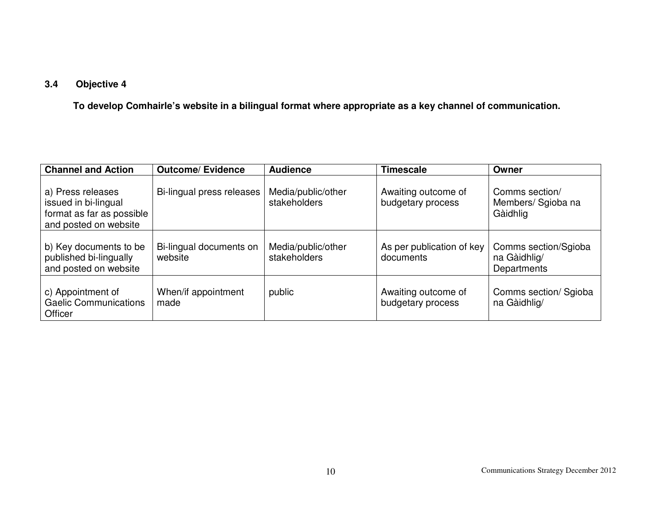## **3.4 Objective 4**

 **To develop Comhairle's website in a bilingual format where appropriate as a key channel of communication.**

| <b>Channel and Action</b>                                                                       | <b>Outcome/Evidence</b>            | <b>Audience</b>                    | <b>Timescale</b>                         | Owner                                               |
|-------------------------------------------------------------------------------------------------|------------------------------------|------------------------------------|------------------------------------------|-----------------------------------------------------|
| a) Press releases<br>issued in bi-lingual<br>format as far as possible<br>and posted on website | Bi-lingual press releases          | Media/public/other<br>stakeholders | Awaiting outcome of<br>budgetary process | Comms section/<br>Members/ Sgioba na<br>Gàidhlig    |
| b) Key documents to be<br>published bi-lingually<br>and posted on website                       | Bi-lingual documents on<br>website | Media/public/other<br>stakeholders | As per publication of key<br>documents   | Comms section/Sgioba<br>na Gàidhlig/<br>Departments |
| c) Appointment of<br><b>Gaelic Communications</b><br>Officer                                    | When/if appointment<br>made        | public                             | Awaiting outcome of<br>budgetary process | Comms section/ Sgioba<br>na Gàidhlig/               |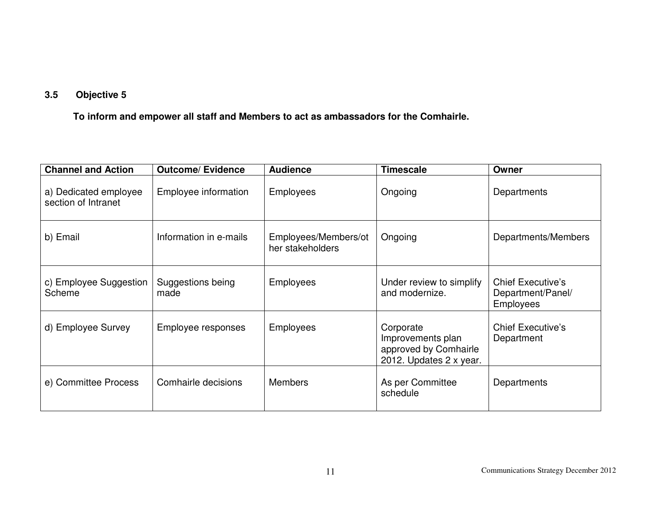## **3.5 Objective 5**

 **To inform and empower all staff and Members to act as ambassadors for the Comhairle.**

| <b>Channel and Action</b>                    | <b>Outcome/ Evidence</b>  | <b>Audience</b>                          | <b>Timescale</b>                                                                   | Owner                                                             |
|----------------------------------------------|---------------------------|------------------------------------------|------------------------------------------------------------------------------------|-------------------------------------------------------------------|
| a) Dedicated employee<br>section of Intranet | Employee information      | <b>Employees</b>                         | Ongoing                                                                            | Departments                                                       |
| b) Email                                     | Information in e-mails    | Employees/Members/ot<br>her stakeholders | Ongoing                                                                            | Departments/Members                                               |
| c) Employee Suggestion<br>Scheme             | Suggestions being<br>made | <b>Employees</b>                         | Under review to simplify<br>and modernize.                                         | <b>Chief Executive's</b><br>Department/Panel/<br><b>Employees</b> |
| d) Employee Survey                           | Employee responses        | <b>Employees</b>                         | Corporate<br>Improvements plan<br>approved by Comhairle<br>2012. Updates 2 x year. | <b>Chief Executive's</b><br>Department                            |
| e) Committee Process                         | Comhairle decisions       | <b>Members</b>                           | As per Committee<br>schedule                                                       | Departments                                                       |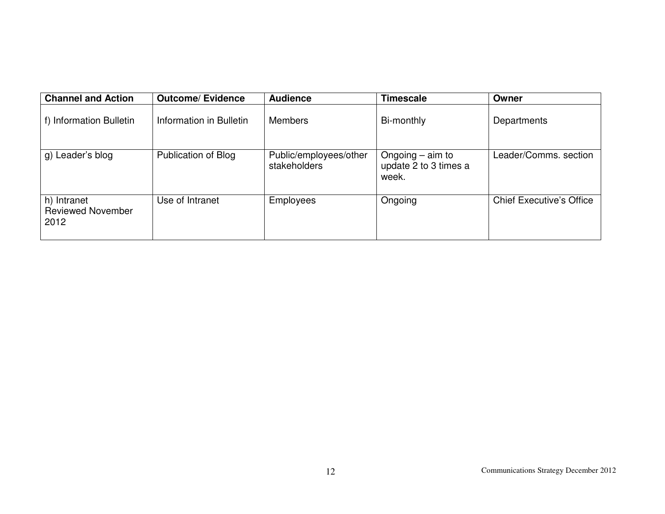| <b>Channel and Action</b>                       | <b>Outcome/Evidence</b> | <b>Audience</b>                        | <b>Timescale</b>                                     | Owner                           |
|-------------------------------------------------|-------------------------|----------------------------------------|------------------------------------------------------|---------------------------------|
| f) Information Bulletin                         | Information in Bulletin | <b>Members</b>                         | Bi-monthly                                           | Departments                     |
| g) Leader's blog                                | Publication of Blog     | Public/employees/other<br>stakeholders | Ongoing $-$ aim to<br>update 2 to 3 times a<br>week. | Leader/Comms. section           |
| h) Intranet<br><b>Reviewed November</b><br>2012 | Use of Intranet         | <b>Employees</b>                       | Ongoing                                              | <b>Chief Executive's Office</b> |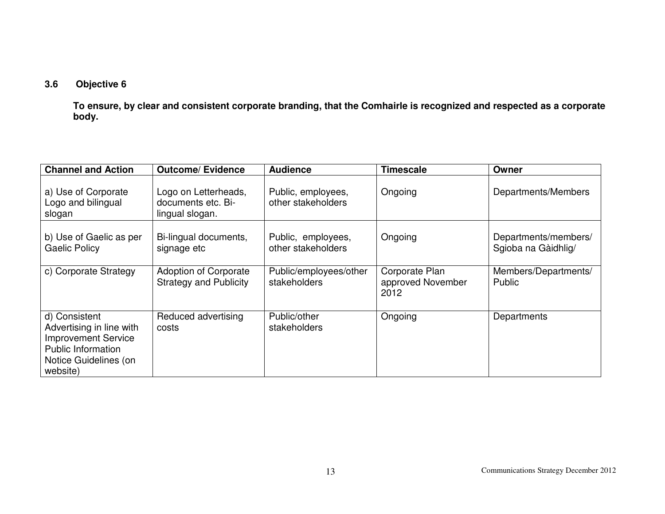## **3.6 Objective 6**

 **To ensure, by clear and consistent corporate branding, that the Comhairle is recognized and respected as a corporate body.**

| <b>Channel and Action</b>                                                                                                                 | <b>Outcome/ Evidence</b>                                      | <b>Audience</b>                          | <b>Timescale</b>                            | Owner                                       |
|-------------------------------------------------------------------------------------------------------------------------------------------|---------------------------------------------------------------|------------------------------------------|---------------------------------------------|---------------------------------------------|
| a) Use of Corporate<br>Logo and bilingual<br>slogan                                                                                       | Logo on Letterheads,<br>documents etc. Bi-<br>lingual slogan. | Public, employees,<br>other stakeholders | Ongoing                                     | Departments/Members                         |
| b) Use of Gaelic as per<br><b>Gaelic Policy</b>                                                                                           | Bi-lingual documents,<br>signage etc                          | Public, employees,<br>other stakeholders | Ongoing                                     | Departments/members/<br>Sgioba na Gàidhlig/ |
| c) Corporate Strategy                                                                                                                     | <b>Adoption of Corporate</b><br><b>Strategy and Publicity</b> | Public/employees/other<br>stakeholders   | Corporate Plan<br>approved November<br>2012 | Members/Departments/<br><b>Public</b>       |
| d) Consistent<br>Advertising in line with<br><b>Improvement Service</b><br><b>Public Information</b><br>Notice Guidelines (on<br>website) | Reduced advertising<br>costs                                  | Public/other<br>stakeholders             | Ongoing                                     | Departments                                 |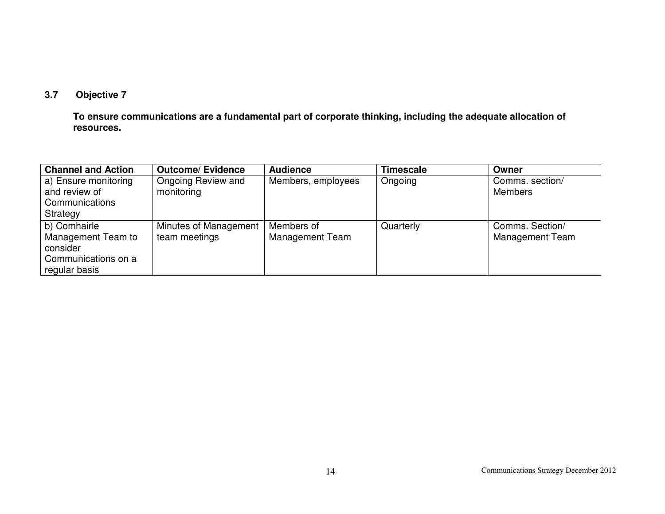## **3.7 Objective 7**

 **To ensure communications are a fundamental part of corporate thinking, including the adequate allocation of resources.**

| <b>Channel and Action</b> | <b>Outcome/Evidence</b> | <b>Audience</b>    | <b>Timescale</b> | Owner                  |
|---------------------------|-------------------------|--------------------|------------------|------------------------|
| a) Ensure monitoring      | Ongoing Review and      | Members, employees | Ongoing          | Comms. section/        |
| and review of             | monitoring              |                    |                  | <b>Members</b>         |
| Communications            |                         |                    |                  |                        |
| Strategy                  |                         |                    |                  |                        |
| b) Comhairle              | Minutes of Management   | Members of         | Quarterly        | Comms. Section/        |
| Management Team to        | team meetings           | Management Team    |                  | <b>Management Team</b> |
| consider                  |                         |                    |                  |                        |
| Communications on a       |                         |                    |                  |                        |
| regular basis             |                         |                    |                  |                        |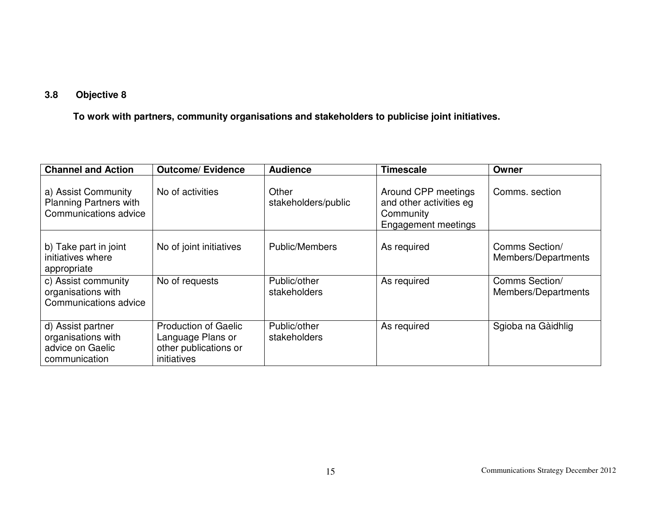## **3.8 Objective 8**

 **To work with partners, community organisations and stakeholders to publicise joint initiatives.**

| <b>Channel and Action</b>                                                     | <b>Outcome/Evidence</b>                                                                  | <b>Audience</b>              | <b>Timescale</b>                                                                   | Owner                                 |
|-------------------------------------------------------------------------------|------------------------------------------------------------------------------------------|------------------------------|------------------------------------------------------------------------------------|---------------------------------------|
| a) Assist Community<br><b>Planning Partners with</b><br>Communications advice | No of activities                                                                         | Other<br>stakeholders/public | Around CPP meetings<br>and other activities eg<br>Community<br>Engagement meetings | Comms, section                        |
| b) Take part in joint<br>initiatives where<br>appropriate                     | No of joint initiatives                                                                  | <b>Public/Members</b>        | As required                                                                        | Comms Section/<br>Members/Departments |
| c) Assist community<br>organisations with<br>Communications advice            | No of requests                                                                           | Public/other<br>stakeholders | As required                                                                        | Comms Section/<br>Members/Departments |
| d) Assist partner<br>organisations with<br>advice on Gaelic<br>communication  | <b>Production of Gaelic</b><br>Language Plans or<br>other publications or<br>initiatives | Public/other<br>stakeholders | As required                                                                        | Sgioba na Gàidhlig                    |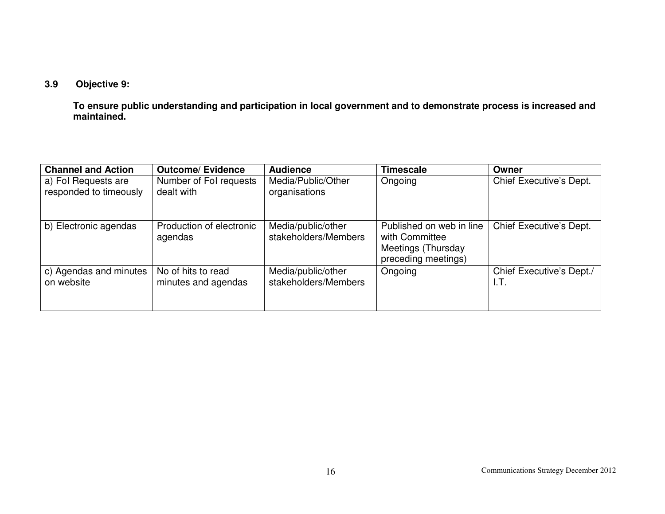## **3.9 Objective 9:**

 **To ensure public understanding and participation in local government and to demonstrate process is increased and maintained.**

| <b>Channel and Action</b>                     | <b>Outcome/ Evidence</b>                  | <b>Audience</b>                            | <b>Timescale</b>                                                                        | Owner                            |
|-----------------------------------------------|-------------------------------------------|--------------------------------------------|-----------------------------------------------------------------------------------------|----------------------------------|
| a) Fol Requests are<br>responded to timeously | Number of Fol requests<br>dealt with      | Media/Public/Other<br>organisations        | Ongoing                                                                                 | Chief Executive's Dept.          |
| b) Electronic agendas                         | Production of electronic<br>agendas       | Media/public/other<br>stakeholders/Members | Published on web in line<br>with Committee<br>Meetings (Thursday<br>preceding meetings) | Chief Executive's Dept.          |
| c) Agendas and minutes<br>on website          | No of hits to read<br>minutes and agendas | Media/public/other<br>stakeholders/Members | Ongoing                                                                                 | Chief Executive's Dept./<br>I.T. |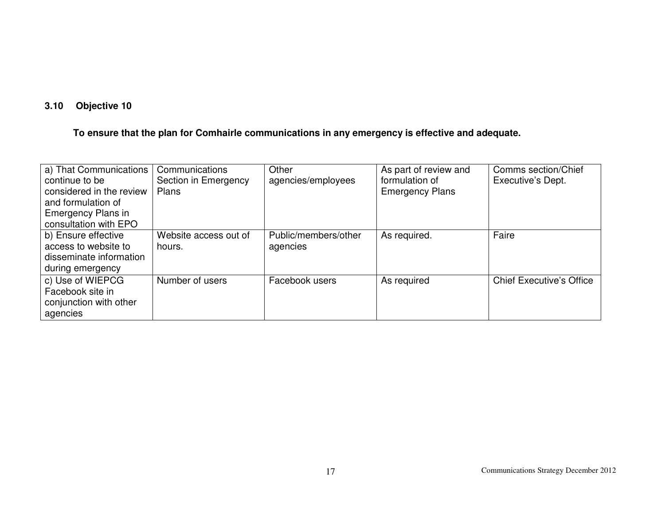## **3.10 Objective 10**

## **To ensure that the plan for Comhairle communications in any emergency is effective and adequate.**

| a) That Communications<br>continue to be<br>considered in the review<br>and formulation of<br><b>Emergency Plans in</b><br>consultation with EPO | Communications<br>Section in Emergency<br>Plans | Other<br>agencies/employees      | As part of review and<br>formulation of<br><b>Emergency Plans</b> | Comms section/Chief<br>Executive's Dept. |
|--------------------------------------------------------------------------------------------------------------------------------------------------|-------------------------------------------------|----------------------------------|-------------------------------------------------------------------|------------------------------------------|
| b) Ensure effective<br>access to website to<br>disseminate information<br>during emergency                                                       | Website access out of<br>hours.                 | Public/members/other<br>agencies | As required.                                                      | Faire                                    |
| c) Use of WIEPCG<br>Facebook site in<br>conjunction with other<br>agencies                                                                       | Number of users                                 | Facebook users                   | As required                                                       | <b>Chief Executive's Office</b>          |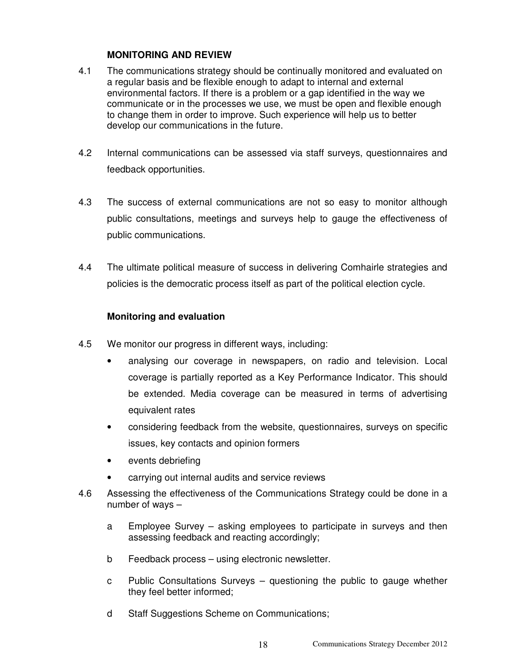#### **MONITORING AND REVIEW**

- 4.1 The communications strategy should be continually monitored and evaluated on a regular basis and be flexible enough to adapt to internal and external environmental factors. If there is a problem or a gap identified in the way we communicate or in the processes we use, we must be open and flexible enough to change them in order to improve. Such experience will help us to better develop our communications in the future.
- 4.2 Internal communications can be assessed via staff surveys, questionnaires and feedback opportunities.
- 4.3 The success of external communications are not so easy to monitor although public consultations, meetings and surveys help to gauge the effectiveness of public communications.
- 4.4 The ultimate political measure of success in delivering Comhairle strategies and policies is the democratic process itself as part of the political election cycle.

### **Monitoring and evaluation**

- 4.5 We monitor our progress in different ways, including:
	- analysing our coverage in newspapers, on radio and television. Local coverage is partially reported as a Key Performance Indicator. This should be extended. Media coverage can be measured in terms of advertising equivalent rates
	- considering feedback from the website, questionnaires, surveys on specific issues, key contacts and opinion formers
	- events debriefing
	- carrying out internal audits and service reviews
- 4.6 Assessing the effectiveness of the Communications Strategy could be done in a number of ways –
	- a Employee Survey asking employees to participate in surveys and then assessing feedback and reacting accordingly;
	- b Feedback process using electronic newsletter.
	- c Public Consultations Surveys questioning the public to gauge whether they feel better informed;
	- d Staff Suggestions Scheme on Communications;